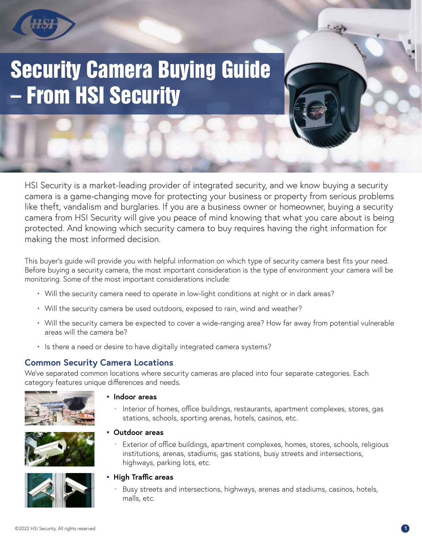# **Security Camera Buying Guide** – From HSI Security

HSI Security is a market-leading provider of integrated security, and we know buying a security camera is a game-changing move for protecting your business or property from serious problems like theft, vandalism and burglaries. If you are a business owner or homeowner, buying a security camera from HSI Security will give you peace of mind knowing that what you care about is being protected. And knowing which security camera to buy requires having the right information for making the most informed decision.

This buyer's guide will provide you with helpful information on which type of security camera best fits your need. Before buying a security camera, the most important consideration is the type of environment your camera will be monitoring. Some of the most important considerations include:

- Will the security camera need to operate in low-light conditions at night or in dark areas?
- Will the security camera be used outdoors, exposed to rain, wind and weather?
- Will the security camera be expected to cover a wide-ranging area? How far away from potential vulnerable areas will the camera be?
- Is there a need or desire to have digitally integrated camera systems?

#### **Common Security Camera Locations**

We've separated common locations where security cameras are placed into four separate categories. Each category features unique differences and needs.



**• Indoor areas**

**• Outdoor areas**

 • Interior of homes, office buildings, restaurants, apartment complexes, stores, gas stations, schools, sporting arenas, hotels, casinos, etc.

 • Exterior of office buildings, apartment complexes, homes, stores, schools, religious institutions, arenas, stadiums, gas stations, busy streets and intersections,





highways, parking lots, etc.

- **• High Traffic areas**
	- Busy streets and intersections, highways, arenas and stadiums, casinos, hotels, malls, etc.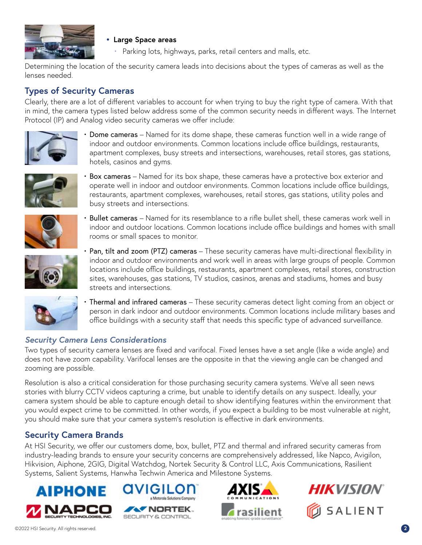

#### **• Large Space areas**

• Parking lots, highways, parks, retail centers and malls, etc.

Determining the location of the security camera leads into decisions about the types of cameras as well as the lenses needed.

#### **Types of Security Cameras**

Clearly, there are a lot of different variables to account for when trying to buy the right type of camera. With that in mind, the camera types listed below address some of the common security needs in different ways. The Internet Protocol (IP) and Analog video security cameras we offer include:



• Dome cameras - Named for its dome shape, these cameras function well in a wide range of indoor and outdoor environments. Common locations include office buildings, restaurants, apartment complexes, busy streets and intersections, warehouses, retail stores, gas stations, hotels, casinos and gyms.



 • Box cameras – Named for its box shape, these cameras have a protective box exterior and operate well in indoor and outdoor environments. Common locations include office buildings, restaurants, apartment complexes, warehouses, retail stores, gas stations, utility poles and busy streets and intersections.



 • Bullet cameras – Named for its resemblance to a rifle bullet shell, these cameras work well in indoor and outdoor locations. Common locations include office buildings and homes with small rooms or small spaces to monitor.



 • Pan, tilt and zoom (PTZ) cameras – These security cameras have multi-directional flexibility in indoor and outdoor environments and work well in areas with large groups of people. Common locations include office buildings, restaurants, apartment complexes, retail stores, construction sites, warehouses, gas stations, TV studios, casinos, arenas and stadiums, homes and busy streets and intersections.



 • Thermal and infrared cameras – These security cameras detect light coming from an object or person in dark indoor and outdoor environments. Common locations include military bases and office buildings with a security staff that needs this specific type of advanced surveillance.

#### *Security Camera Lens Considerations*

Two types of security camera lenses are fixed and varifocal. Fixed lenses have a set angle (like a wide angle) and does not have zoom capability. Varifocal lenses are the opposite in that the viewing angle can be changed and zooming are possible.

Resolution is also a critical consideration for those purchasing security camera systems. We've all seen news stories with blurry CCTV videos capturing a crime, but unable to identify details on any suspect. Ideally, your camera system should be able to capture enough detail to show identifying features within the environment that you would expect crime to be committed. In other words, if you expect a building to be most vulnerable at night, you should make sure that your camera system's resolution is effective in dark environments.

#### **Security Camera Brands**

At HSI Security, we offer our customers dome, box, bullet, PTZ and thermal and infrared security cameras from industry-leading brands to ensure your security concerns are comprehensively addressed, like Napco, Avigilon, Hikvision, Aiphone, 2GIG, Digital Watchdog, Nortek Security & Control LLC, Axis Communications, Rasilient Systems, Salient Systems, Hanwha Techwin America and Milestone Systems.